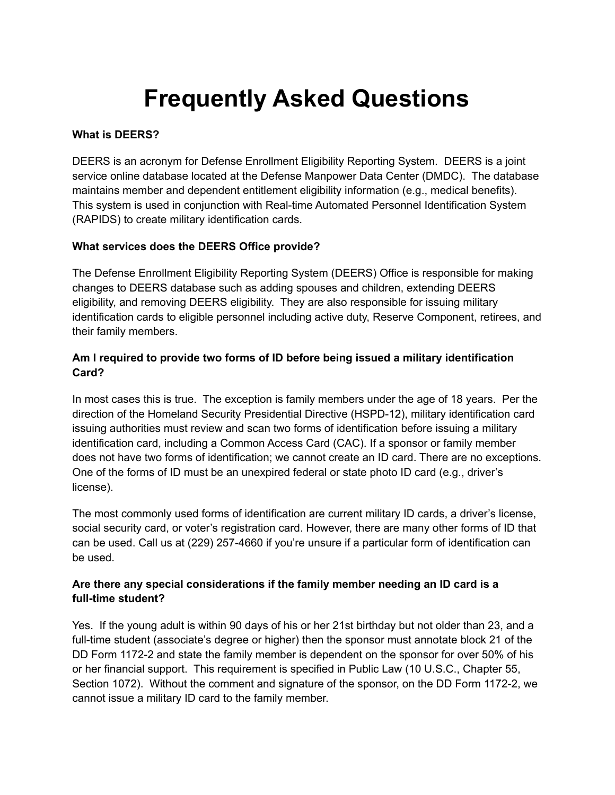# **Frequently Asked Questions**

## **What is DEERS?**

DEERS is an acronym for Defense Enrollment Eligibility Reporting System. DEERS is a joint service online database located at the Defense Manpower Data Center (DMDC). The database maintains member and dependent entitlement eligibility information (e.g., medical benefits). This system is used in conjunction with Real-time Automated Personnel Identification System (RAPIDS) to create military identification cards.

## **What services does the DEERS Office provide?**

The Defense Enrollment Eligibility Reporting System (DEERS) Office is responsible for making changes to DEERS database such as adding spouses and children, extending DEERS eligibility, and removing DEERS eligibility. They are also responsible for issuing military identification cards to eligible personnel including active duty, Reserve Component, retirees, and their family members.

## **Am I required to provide two forms of ID before being issued a military identification Card?**

In most cases this is true. The exception is family members under the age of 18 years. Per the direction of the Homeland Security Presidential Directive (HSPD-12), military identification card issuing authorities must review and scan two forms of identification before issuing a military identification card, including a Common Access Card (CAC). If a sponsor or family member does not have two forms of identification; we cannot create an ID card. There are no exceptions. One of the forms of ID must be an unexpired federal or state photo ID card (e.g., driver's license).

The most commonly used forms of identification are current military ID cards, a driver's license, social security card, or voter's registration card. However, there are many other forms of ID that can be used. Call us at (229) 257-4660 if you're unsure if a particular form of identification can be used.

# **Are there any special considerations if the family member needing an ID card is a full-time student?**

Yes. If the young adult is within 90 days of his or her 21st birthday but not older than 23, and a full-time student (associate's degree or higher) then the sponsor must annotate block 21 of the DD Form 1172-2 and state the family member is dependent on the sponsor for over 50% of his or her financial support. This requirement is specified in Public Law (10 U.S.C., Chapter 55, Section 1072). Without the comment and signature of the sponsor, on the DD Form 1172-2, we cannot issue a military ID card to the family member.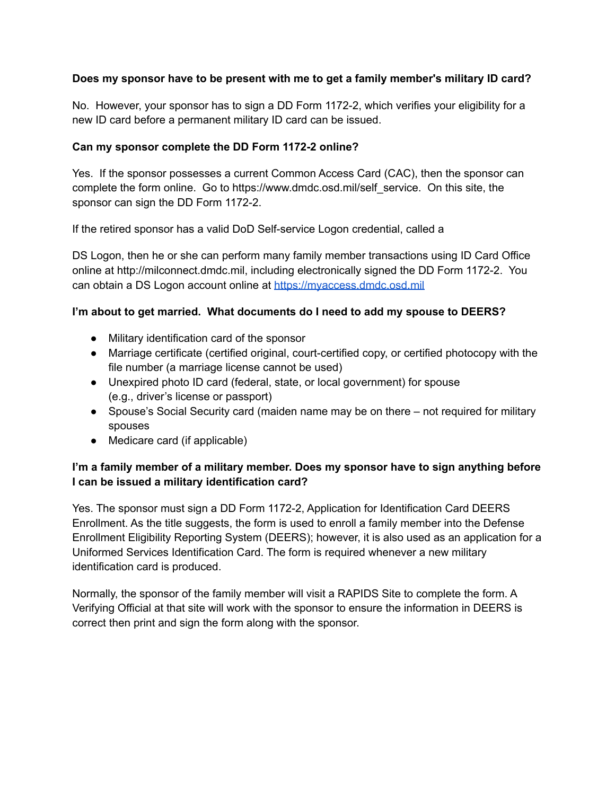## **Does my sponsor have to be present with me to get a family member's military ID card?**

No. However, your sponsor has to sign a DD Form 1172-2, which verifies your eligibility for a new ID card before a permanent military ID card can be issued.

#### **Can my sponsor complete the DD Form 1172-2 online?**

Yes. If the sponsor possesses a current Common Access Card (CAC), then the sponsor can complete the form online. Go to https://www.dmdc.osd.mil/self\_service. On this site, the sponsor can sign the DD Form 1172-2.

If the retired sponsor has a valid DoD Self-service Logon credential, called a

DS Logon, then he or she can perform many family member transactions using ID Card Office online at http://milconnect.dmdc.mil, including electronically signed the DD Form 1172-2. You can obtain a DS Logon account online at <https://myaccess.dmdc.osd.mil>

#### **I'm about to get married. What documents do I need to add my spouse to DEERS?**

- Military identification card of the sponsor
- Marriage certificate (certified original, court-certified copy, or certified photocopy with the file number (a marriage license cannot be used)
- Unexpired photo ID card (federal, state, or local government) for spouse (e.g., driver's license or passport)
- Spouse's Social Security card (maiden name may be on there not required for military spouses
- Medicare card (if applicable)

## **I'm a family member of a military member. Does my sponsor have to sign anything before I can be issued a military identification card?**

Yes. The sponsor must sign a DD Form 1172-2, Application for Identification Card DEERS Enrollment. As the title suggests, the form is used to enroll a family member into the Defense Enrollment Eligibility Reporting System (DEERS); however, it is also used as an application for a Uniformed Services Identification Card. The form is required whenever a new military identification card is produced.

Normally, the sponsor of the family member will visit a RAPIDS Site to complete the form. A Verifying Official at that site will work with the sponsor to ensure the information in DEERS is correct then print and sign the form along with the sponsor.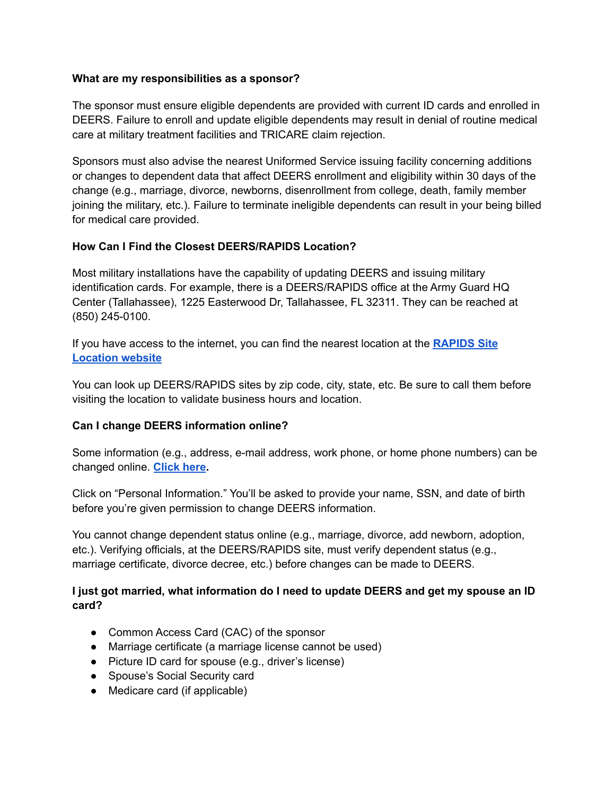#### **What are my responsibilities as a sponsor?**

The sponsor must ensure eligible dependents are provided with current ID cards and enrolled in DEERS. Failure to enroll and update eligible dependents may result in denial of routine medical care at military treatment facilities and TRICARE claim rejection.

Sponsors must also advise the nearest Uniformed Service issuing facility concerning additions or changes to dependent data that affect DEERS enrollment and eligibility within 30 days of the change (e.g., marriage, divorce, newborns, disenrollment from college, death, family member joining the military, etc.). Failure to terminate ineligible dependents can result in your being billed for medical care provided.

#### **How Can I Find the Closest DEERS/RAPIDS Location?**

Most military installations have the capability of updating DEERS and issuing military identification cards. For example, there is a DEERS/RAPIDS office at the Army Guard HQ Center (Tallahassee), 1225 Easterwood Dr, Tallahassee, FL 32311. They can be reached at (850) 245-0100.

If you have access to the internet, you can find the nearest location at the **[RAPIDS](http://www2.dmdc.osd.mil/rsl/appj/site?execution=e1s1) Site [Location](http://www2.dmdc.osd.mil/rsl/appj/site?execution=e1s1) website**

You can look up DEERS/RAPIDS sites by zip code, city, state, etc. Be sure to call them before visiting the location to validate business hours and location.

## **Can I change DEERS information online?**

Some information (e.g., address, e-mail address, work phone, or home phone numbers) can be changed online. **[Click](https://www.dmdc.osd.mil/appj/address/index.jsp) here.**

Click on "Personal Information." You'll be asked to provide your name, SSN, and date of birth before you're given permission to change DEERS information.

You cannot change dependent status online (e.g., marriage, divorce, add newborn, adoption, etc.). Verifying officials, at the DEERS/RAPIDS site, must verify dependent status (e.g., marriage certificate, divorce decree, etc.) before changes can be made to DEERS.

#### **I just got married, what information do I need to update DEERS and get my spouse an ID card?**

- Common Access Card (CAC) of the sponsor
- Marriage certificate (a marriage license cannot be used)
- Picture ID card for spouse (e.g., driver's license)
- Spouse's Social Security card
- Medicare card (if applicable)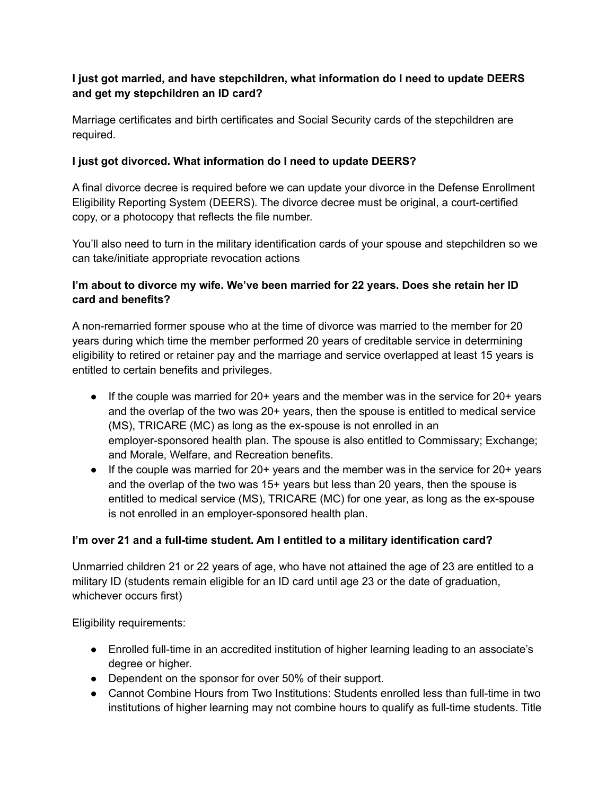# **I just got married, and have stepchildren, what information do I need to update DEERS and get my stepchildren an ID card?**

Marriage certificates and birth certificates and Social Security cards of the stepchildren are required.

## **I just got divorced. What information do I need to update DEERS?**

A final divorce decree is required before we can update your divorce in the Defense Enrollment Eligibility Reporting System (DEERS). The divorce decree must be original, a court-certified copy, or a photocopy that reflects the file number.

You'll also need to turn in the military identification cards of your spouse and stepchildren so we can take/initiate appropriate revocation actions

# **I'm about to divorce my wife. We've been married for 22 years. Does she retain her ID card and benefits?**

A non-remarried former spouse who at the time of divorce was married to the member for 20 years during which time the member performed 20 years of creditable service in determining eligibility to retired or retainer pay and the marriage and service overlapped at least 15 years is entitled to certain benefits and privileges.

- If the couple was married for 20+ years and the member was in the service for 20+ years and the overlap of the two was 20+ years, then the spouse is entitled to medical service (MS), TRICARE (MC) as long as the ex-spouse is not enrolled in an employer-sponsored health plan. The spouse is also entitled to Commissary; Exchange; and Morale, Welfare, and Recreation benefits.
- If the couple was married for 20+ years and the member was in the service for 20+ years and the overlap of the two was 15+ years but less than 20 years, then the spouse is entitled to medical service (MS), TRICARE (MC) for one year, as long as the ex-spouse is not enrolled in an employer-sponsored health plan.

# **I'm over 21 and a full-time student. Am I entitled to a military identification card?**

Unmarried children 21 or 22 years of age, who have not attained the age of 23 are entitled to a military ID (students remain eligible for an ID card until age 23 or the date of graduation, whichever occurs first)

Eligibility requirements:

- Enrolled full-time in an accredited institution of higher learning leading to an associate's degree or higher.
- Dependent on the sponsor for over 50% of their support.
- Cannot Combine Hours from Two Institutions: Students enrolled less than full-time in two institutions of higher learning may not combine hours to qualify as full-time students. Title